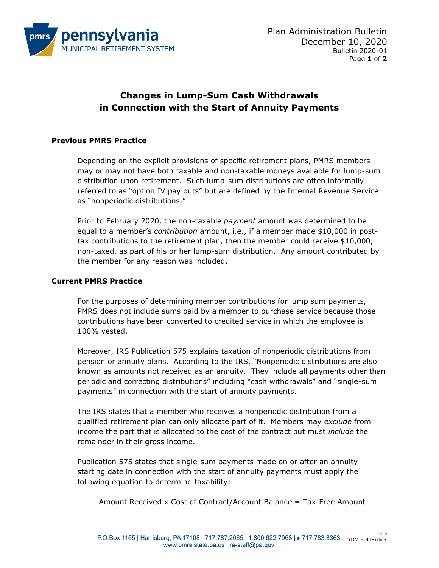

# **Changes in Lump-Sum Cash Withdrawals in Connection with the Start of Annuity Payments**

## **Previous PMRS Practice**

Depending on the explicit provisions of specific retirement plans, PMRS members may or may not have both taxable and non-taxable moneys available for lump-sum distribution upon retirement. Such lump-sum distributions are often informally referred to as "option IV pay outs" but are defined by the Internal Revenue Service as "nonperiodic distributions."

Prior to February 2020, the non-taxable *payment* amount was determined to be equal to a member's *contribution* amount, i.e., if a member made \$10,000 in posttax contributions to the retirement plan, then the member could receive \$10,000, non-taxed, as part of his or her lump-sum distribution. Any amount contributed by the member for any reason was included.

#### **Current PMRS Practice**

For the purposes of determining member contributions for lump sum payments, PMRS does not include sums paid by a member to purchase service because those contributions have been converted to credited service in which the employee is 100% vested.

Moreover, IRS Publication 575 explains taxation of nonperiodic distributions from pension or annuity plans. According to the IRS, "Nonperiodic distributions are also known as amounts not received as an annuity. They include all payments other than periodic and correcting distributions" including "cash withdrawals" and "single-sum payments" in connection with the start of annuity payments.

The IRS states that a member who receives a nonperiodic distribution from a qualified retirement plan can only allocate part of it. Members may *exclude* from income the part that is allocated to the cost of the contract but must *include* the remainder in their gross income.

Publication 575 states that single-sum payments made on or after an annuity starting date in connection with the start of annuity payments must apply the following equation to determine taxability:

Amount Received x Cost of Contract/Account Balanc*e* = Tax-Free Amount